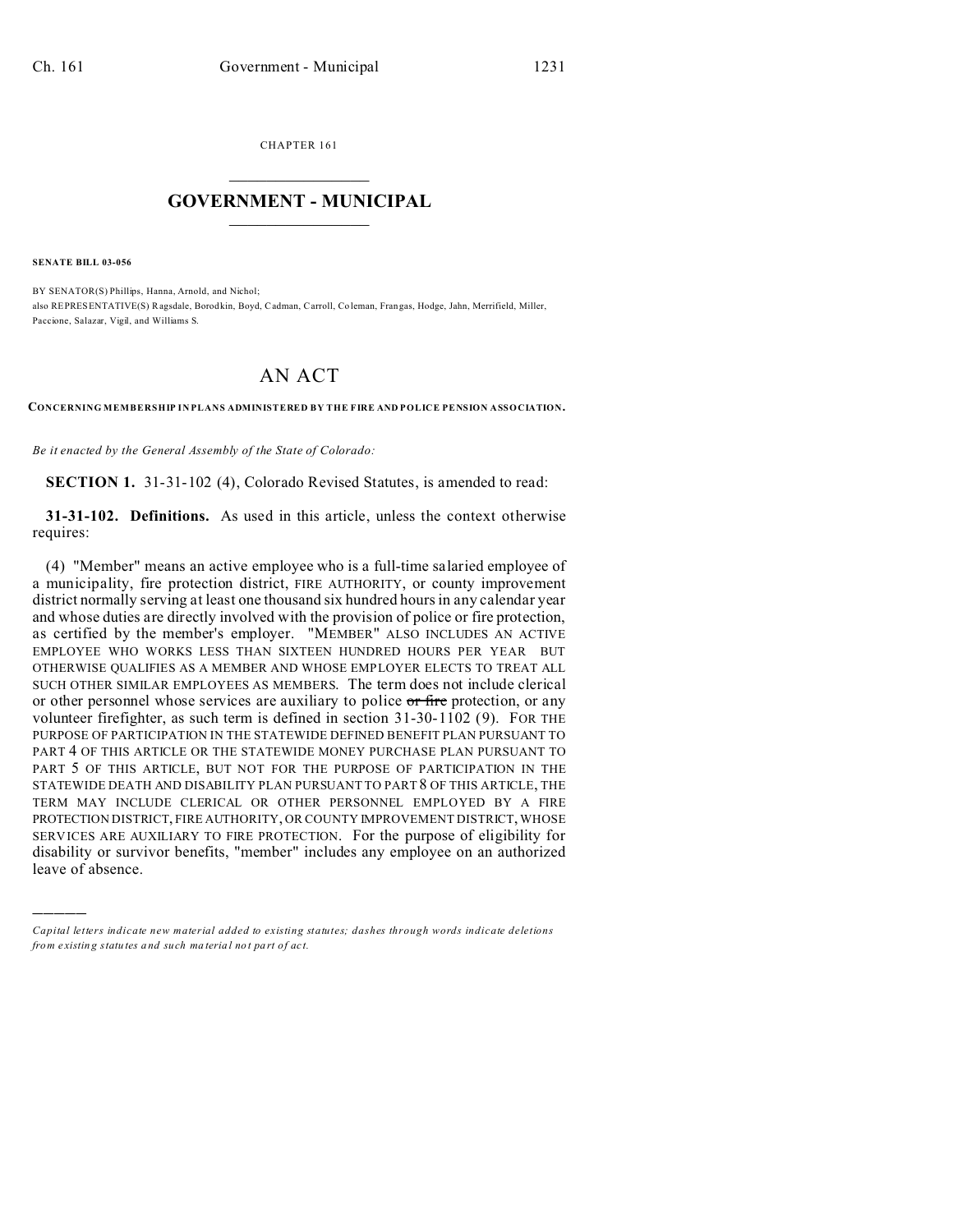CHAPTER 161  $\overline{\phantom{a}}$  , where  $\overline{\phantom{a}}$ 

## **GOVERNMENT - MUNICIPAL**  $\_$   $\_$

**SENATE BILL 03-056**

)))))

BY SENATOR(S) Phillips, Hanna, Arnold, and Nichol; also REPRESENTATIVE(S) Ragsdale, Borod kin, Boyd, Cadman, Carroll, Co leman, Frangas, Hodge, Jahn, Merrifield, Miller, Paccione, Salazar, Vigil, and Williams S.

## AN ACT

**CONCERNING MEMBERSHIP IN PLANS ADMINISTERED BY THE FIRE AND POLICE PENSION ASSOCIATION.**

*Be it enacted by the General Assembly of the State of Colorado:*

**SECTION 1.** 31-31-102 (4), Colorado Revised Statutes, is amended to read:

**31-31-102. Definitions.** As used in this article, unless the context otherwise requires:

(4) "Member" means an active employee who is a full-time salaried employee of a municipality, fire protection district, FIRE AUTHORITY, or county improvement district normally serving at least one thousand six hundred hours in any calendar year and whose duties are directly involved with the provision of police or fire protection, as certified by the member's employer. "MEMBER" ALSO INCLUDES AN ACTIVE EMPLOYEE WHO WORKS LESS THAN SIXTEEN HUNDRED HOURS PER YEAR BUT OTHERWISE QUALIFIES AS A MEMBER AND WHOSE EMPLOYER ELECTS TO TREAT ALL SUCH OTHER SIMILAR EMPLOYEES AS MEMBERS. The term does not include clerical or other personnel whose services are auxiliary to police or fire protection, or any volunteer firefighter, as such term is defined in section 31-30-1102 (9). FOR THE PURPOSE OF PARTICIPATION IN THE STATEWIDE DEFINED BENEFIT PLAN PURSUANT TO PART 4 OF THIS ARTICLE OR THE STATEWIDE MONEY PURCHASE PLAN PURSUANT TO PART 5 OF THIS ARTICLE, BUT NOT FOR THE PURPOSE OF PARTICIPATION IN THE STATEWIDE DEATH AND DISABILITY PLAN PURSUANT TO PART 8 OF THIS ARTICLE, THE TERM MAY INCLUDE CLERICAL OR OTHER PERSONNEL EMPLOYED BY A FIRE PROTECTION DISTRICT, FIRE AUTHORITY, OR COUNTY IMPROVEMENT DISTRICT, WHOSE SERVICES ARE AUXILIARY TO FIRE PROTECTION. For the purpose of eligibility for disability or survivor benefits, "member" includes any employee on an authorized leave of absence.

*Capital letters indicate new material added to existing statutes; dashes through words indicate deletions from e xistin g statu tes a nd such ma teria l no t pa rt of ac t.*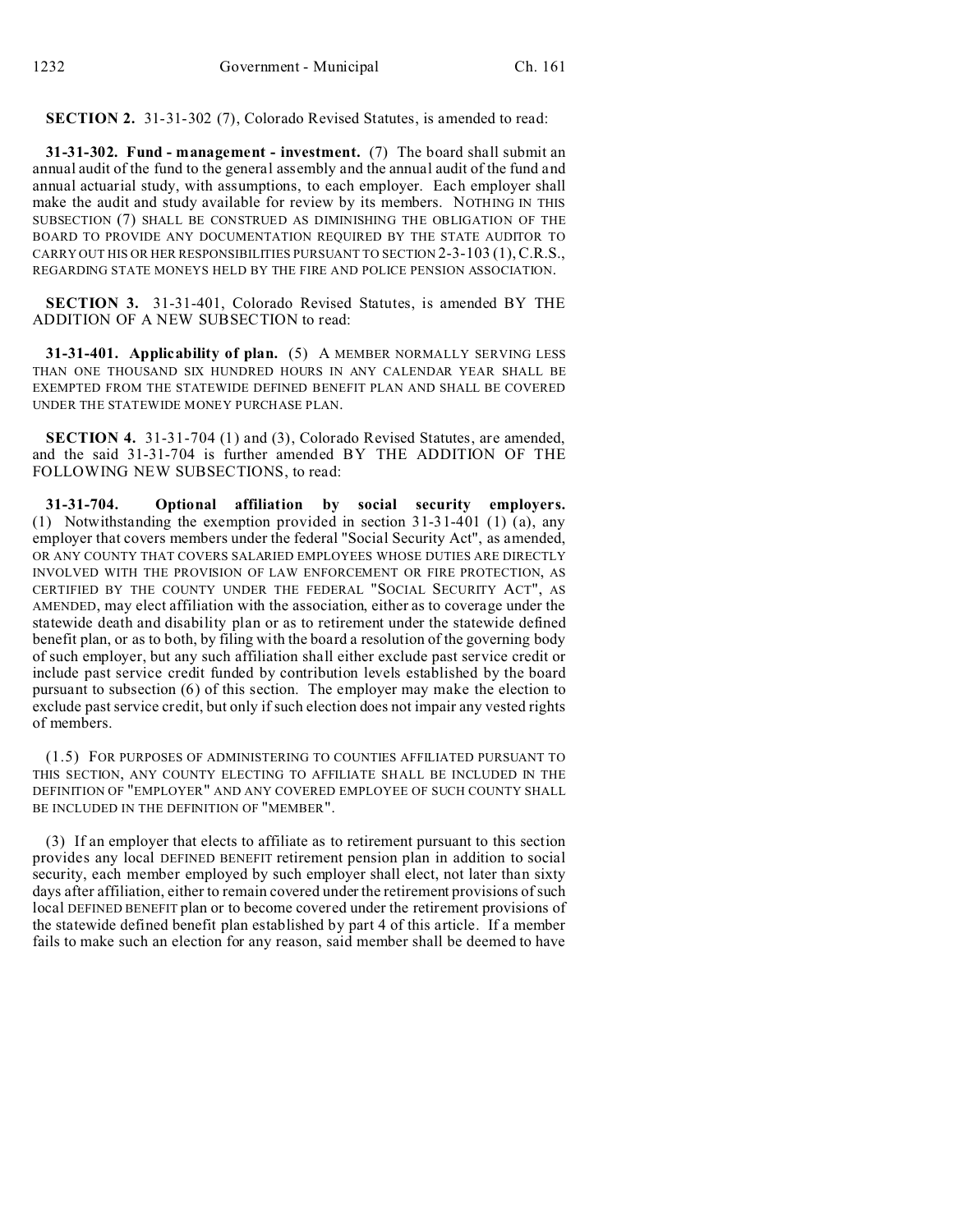**SECTION 2.** 31-31-302 (7), Colorado Revised Statutes, is amended to read:

**31-31-302. Fund - management - investment.** (7) The board shall submit an annual audit of the fund to the general assembly and the annual audit of the fund and annual actuarial study, with assumptions, to each employer. Each employer shall make the audit and study available for review by its members. NOTHING IN THIS SUBSECTION (7) SHALL BE CONSTRUED AS DIMINISHING THE OBLIGATION OF THE BOARD TO PROVIDE ANY DOCUMENTATION REQUIRED BY THE STATE AUDITOR TO CARRY OUT HIS OR HER RESPONSIBILITIES PURSUANT TO SECTION 2-3-103 (1),C.R.S., REGARDING STATE MONEYS HELD BY THE FIRE AND POLICE PENSION ASSOCIATION.

**SECTION 3.** 31-31-401, Colorado Revised Statutes, is amended BY THE ADDITION OF A NEW SUBSECTION to read:

**31-31-401. Applicability of plan.** (5) A MEMBER NORMALLY SERVING LESS THAN ONE THOUSAND SIX HUNDRED HOURS IN ANY CALENDAR YEAR SHALL BE EXEMPTED FROM THE STATEWIDE DEFINED BENEFIT PLAN AND SHALL BE COVERED UNDER THE STATEWIDE MONEY PURCHASE PLAN.

**SECTION 4.** 31-31-704 (1) and (3), Colorado Revised Statutes, are amended, and the said 31-31-704 is further amended BY THE ADDITION OF THE FOLLOWING NEW SUBSECTIONS, to read:

**31-31-704. Optional affiliation by social security employers.** (1) Notwithstanding the exemption provided in section 31-31-401 (1) (a), any employer that covers members under the federal "Social Security Act", as amended, OR ANY COUNTY THAT COVERS SALARIED EMPLOYEES WHOSE DUTIES ARE DIRECTLY INVOLVED WITH THE PROVISION OF LAW ENFORCEMENT OR FIRE PROTECTION, AS CERTIFIED BY THE COUNTY UNDER THE FEDERAL "SOCIAL SECURITY ACT", AS AMENDED, may elect affiliation with the association, either as to coverage under the statewide death and disability plan or as to retirement under the statewide defined benefit plan, or as to both, by filing with the board a resolution of the governing body of such employer, but any such affiliation shall either exclude past service credit or include past service credit funded by contribution levels established by the board pursuant to subsection (6) of this section. The employer may make the election to exclude past service credit, but only if such election does not impair any vested rights of members.

(1.5) FOR PURPOSES OF ADMINISTERING TO COUNTIES AFFILIATED PURSUANT TO THIS SECTION, ANY COUNTY ELECTING TO AFFILIATE SHALL BE INCLUDED IN THE DEFINITION OF "EMPLOYER" AND ANY COVERED EMPLOYEE OF SUCH COUNTY SHALL BE INCLUDED IN THE DEFINITION OF "MEMBER".

(3) If an employer that elects to affiliate as to retirement pursuant to this section provides any local DEFINED BENEFIT retirement pension plan in addition to social security, each member employed by such employer shall elect, not later than sixty days after affiliation, either to remain covered under the retirement provisions of such local DEFINED BENEFIT plan or to become covered under the retirement provisions of the statewide defined benefit plan established by part 4 of this article. If a member fails to make such an election for any reason, said member shall be deemed to have